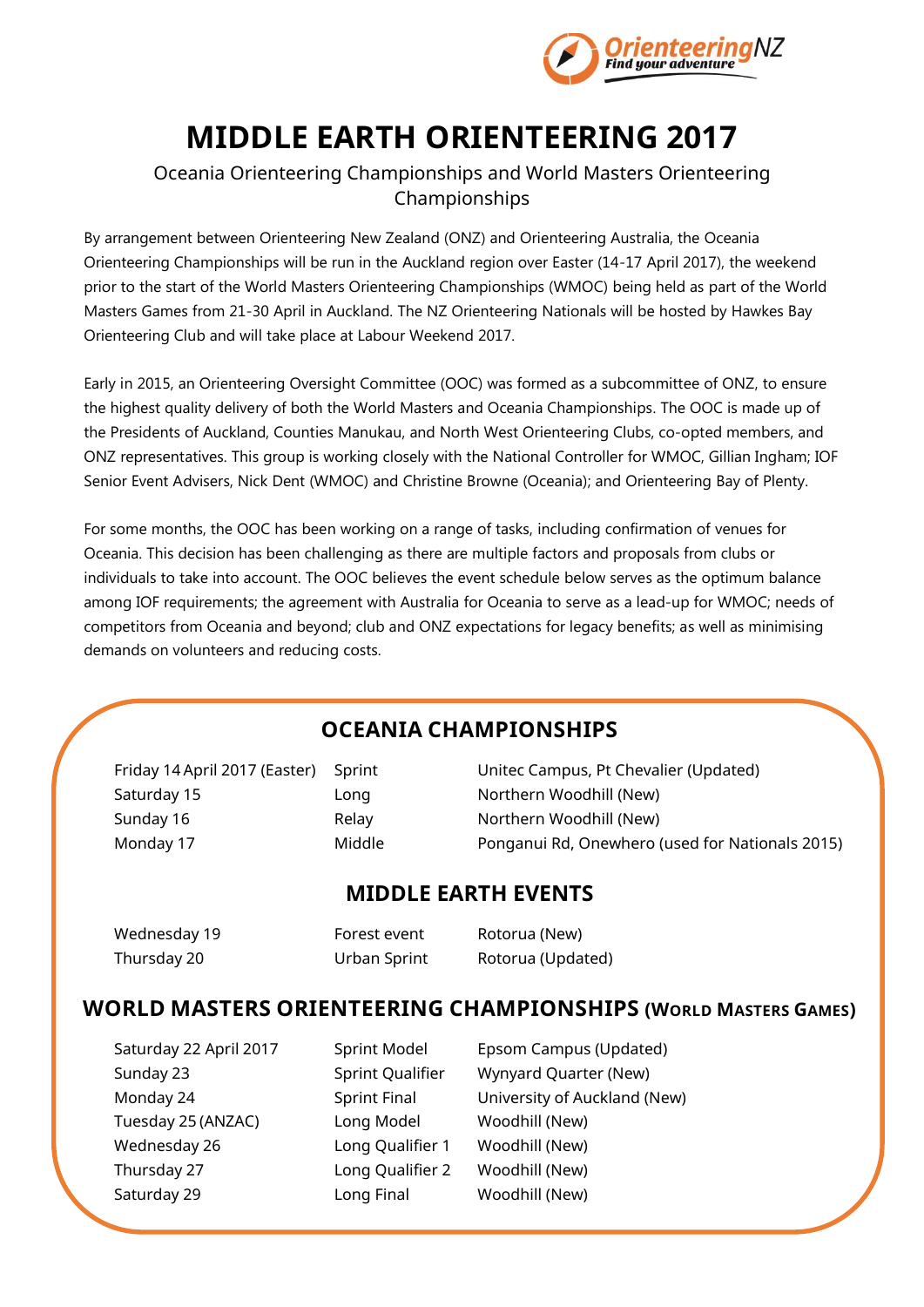

# **MIDDLE EARTH ORIENTEERING 2017**

### Oceania Orienteering Championships and World Masters Orienteering Championships

By arrangement between Orienteering New Zealand (ONZ) and Orienteering Australia, the Oceania Orienteering Championships will be run in the Auckland region over Easter (14-17 April 2017), the weekend prior to the start of the World Masters Orienteering Championships (WMOC) being held as part of the World Masters Games from 21-30 April in Auckland. The NZ Orienteering Nationals will be hosted by Hawkes Bay Orienteering Club and will take place at Labour Weekend 2017.

Early in 2015, an Orienteering Oversight Committee (OOC) was formed as a subcommittee of ONZ, to ensure the highest quality delivery of both the World Masters and Oceania Championships. The OOC is made up of the Presidents of Auckland, Counties Manukau, and North West Orienteering Clubs, co-opted members, and ONZ representatives. This group is working closely with the National Controller for WMOC, Gillian Ingham; IOF Senior Event Advisers, Nick Dent (WMOC) and Christine Browne (Oceania); and Orienteering Bay of Plenty.

For some months, the OOC has been working on a range of tasks, including confirmation of venues for Oceania. This decision has been challenging as there are multiple factors and proposals from clubs or individuals to take into account. The OOC believes the event schedule below serves as the optimum balance among IOF requirements; the agreement with Australia for Oceania to serve as a lead-up for WMOC; needs of competitors from Oceania and beyond; club and ONZ expectations for legacy benefits; as well as minimising demands on volunteers and reducing costs.

# **OCEANIA CHAMPIONSHIPS**

Saturday 15 Long Long Northern Woodhill (New) Sunday 16 **Relay** Relay **Northern Woodhill (New)** 

Friday 14 April 2017 (Easter) Sprint Unitec Campus, Pt Chevalier (Updated) Monday 17 Middle Ponganui Rd, Onewhero (used for Nationals 2015)

## **MIDDLE EARTH EVENTS**

| Wednesday 19 | Forest event | Rotorua (New)     |
|--------------|--------------|-------------------|
| Thursday 20  | Urban Sprint | Rotorua (Updated) |

### **WORLD MASTERS ORIENTEERING CHAMPIONSHIPS (WORLD MASTERS GAMES)**

| Saturday 22 April 2017 |
|------------------------|
| Sunday 23              |
| Monday 24              |
| Tuesday 25 (ANZAC)     |
| Wednesday 26           |
| Thursday 27            |
| Saturday 29            |

Long Model Woodhill (New) Long Qualifier 1 Woodhill (New) Long Qualifier 2 Woodhill (New) Long Final Woodhill (New)

Sprint Model Epsom Campus (Updated) Sprint Qualifier Wynyard Quarter (New) Sprint Final University of Auckland (New)